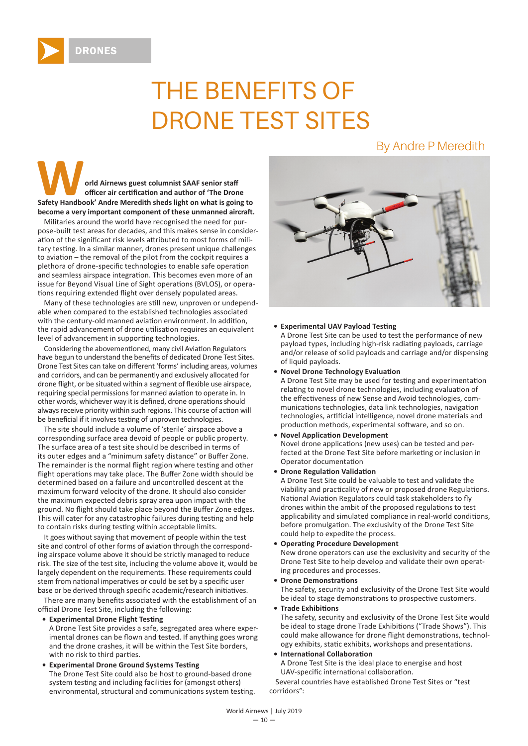

# THE BENEFITS OF DRONE TEST SITES

# By Andre P Meredith

**WARREGET AIRCRED SALE SAMPLE SAAF SENIOR SAFE SENIOR SAFET ALL SAFE SENIOR SAFET AT A CONTROL SAFETY Handbook' Andre Meredith sheds light on what is going to** officer air certification and author of 'The Drone become a very important component of these unmanned aircraft.

Militaries around the world have recognised the need for purpose-built test areas for decades, and this makes sense in consideration of the significant risk levels attributed to most forms of military testing. In a similar manner, drones present unique challenges to aviation – the removal of the pilot from the cockpit requires a plethora of drone-specific technologies to enable safe operation and seamless airspace integration. This becomes even more of an issue for Beyond Visual Line of Sight operations (BVLOS), or operations requiring extended flight over densely populated areas.

Many of these technologies are still new, unproven or undependable when compared to the established technologies associated with the century-old manned aviation environment. In addition, the rapid advancement of drone utilisation requires an equivalent level of advancement in supporting technologies.

Considering the abovementioned, many civil Aviation Regulators have begun to understand the benefits of dedicated Drone Test Sites. Drone Test Sites can take on different 'forms' including areas, volumes and corridors, and can be permanently and exclusively allocated for drone flight, or be situated within a segment of flexible use airspace, requiring special permissions for manned aviation to operate in. In other words, whichever way it is defined, drone operations should always receive priority within such regions. This course of action will be beneficial if it involves testing of unproven technologies.

The site should include a volume of 'sterile' airspace above a corresponding surface area devoid of people or public property. The surface area of a test site should be described in terms of its outer edges and a "minimum safety distance" or Buffer Zone. The remainder is the normal flight region where testing and other flight operations may take place. The Buffer Zone width should be determined based on a failure and uncontrolled descent at the maximum forward velocity of the drone. It should also consider the maximum expected debris spray area upon impact with the ground. No flight should take place beyond the Buffer Zone edges. This will cater for any catastrophic failures during testing and help to contain risks during testing within acceptable limits.

It goes without saying that movement of people within the test site and control of other forms of aviation through the corresponding airspace volume above it should be strictly managed to reduce risk. The size of the test site, including the volume above it, would be largely dependent on the requirements. These requirements could stem from national imperatives or could be set by a specific user base or be derived through specific academic/research initiatives.

There are many benefits associated with the establishment of an official Drone Test Site, including the following:

#### **• Experimental Drone Flight Testing**

A Drone Test Site provides a safe, segregated area where experimental drones can be flown and tested. If anything goes wrong and the drone crashes, it will be within the Test Site borders, with no risk to third parties.

#### **• Experimental Drone Ground Systems Testing**

The Drone Test Site could also be host to ground-based drone system testing and including facilities for (amongst others) environmental, structural and communications system testing.



#### **• Experimental UAV Payload Testing**

A Drone Test Site can be used to test the performance of new payload types, including high-risk radiating payloads, carriage and/or release of solid payloads and carriage and/or dispensing of liquid payloads.

**• Novel Drone Technology Evaluation** 

A Drone Test Site may be used for testing and experimentation relating to novel drone technologies, including evaluation of the effectiveness of new Sense and Avoid technologies, communications technologies, data link technologies, navigation technologies, artificial intelligence, novel drone materials and production methods, experimental software, and so on.

# • Novel Application Development

Novel drone applications (new uses) can be tested and perfected at the Drone Test Site before marketing or inclusion in Operator documentation

#### **• Drone Regulation Validation**

A Drone Test Site could be valuable to test and validate the viability and practicality of new or proposed drone Regulations. National Aviation Regulators could task stakeholders to fly drones within the ambit of the proposed regulations to test applicability and simulated compliance in real-world conditions, before promulgation. The exclusivity of the Drone Test Site could help to expedite the process.

#### **• Operating Procedure Development**

New drone operators can use the exclusivity and security of the Drone Test Site to help develop and validate their own operating procedures and processes.

#### **• Drone Demonstrations**

The safety, security and exclusivity of the Drone Test Site would be ideal to stage demonstrations to prospective customers.

**• Trade Exhibitions** 

The safety, security and exclusivity of the Drone Test Site would be ideal to stage drone Trade Exhibitions ("Trade Shows"). This could make allowance for drone flight demonstrations, technology exhibits, static exhibits, workshops and presentations.

# **• International Collaboration**

A Drone Test Site is the ideal place to energise and host UAV-specific international collaboration.

Several countries have established Drone Test Sites or "test corridors":